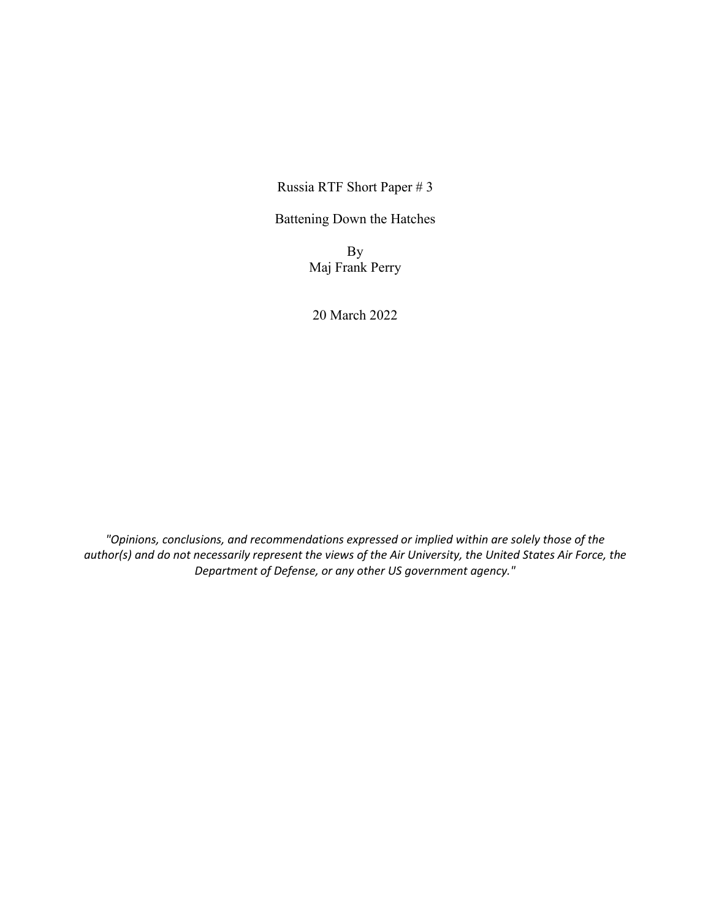Russia RTF Short Paper # 3

Battening Down the Hatches

By Maj Frank Perry

20 March 2022

*"Opinions, conclusions, and recommendations expressed or implied within are solely those of the author(s) and do not necessarily represent the views of the Air University, the United States Air Force, the Department of Defense, or any other US government agency."*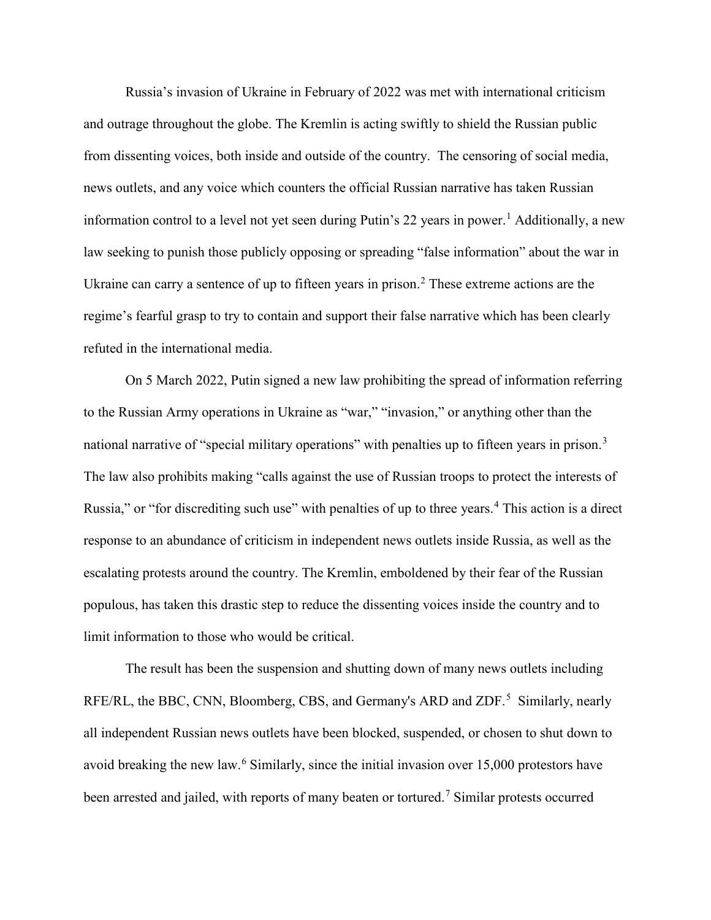Russia's invasion of Ukraine in February of 2022 was met with international criticism and outrage throughout the globe. The Kremlin is acting swiftly to shield the Russian public from dissenting voices, both inside and outside of the country. The censoring of social media, news outlets, and any voice which counters the official Russian narrative has taken Russian information control to a level not yet seen during Putin's 22 years in power.<sup>[1](#page-2-0)</sup> Additionally, a new law seeking to punish those publicly opposing or spreading "false information" about the war in Ukraine can carry a sentence of up to fifteen years in prison.<sup>[2](#page-2-1)</sup> These extreme actions are the regime's fearful grasp to try to contain and support their false narrative which has been clearly refuted in the international media.

On 5 March 2022, Putin signed a new law prohibiting the spread of information referring to the Russian Army operations in Ukraine as "war," "invasion," or anything other than the national narrative of "special military operations" with penalties up to fifteen years in prison.<sup>[3](#page-2-2)</sup> The law also prohibits making "calls against the use of Russian troops to protect the interests of Russia," or "for discrediting such use" with penalties of up to three years.<sup>[4](#page-2-3)</sup> This action is a direct response to an abundance of criticism in independent news outlets inside Russia, as well as the escalating protests around the country. The Kremlin, emboldened by their fear of the Russian populous, has taken this drastic step to reduce the dissenting voices inside the country and to limit information to those who would be critical.

The result has been the suspension and shutting down of many news outlets including RFE/RL, the BBC, CNN, Bloomberg, CBS, and Germany's ARD and ZDF.<sup>[5](#page-2-4)</sup> Similarly, nearly all independent Russian news outlets have been blocked, suspended, or chosen to shut down to avoid breaking the new law.<sup>[6](#page-2-5)</sup> Similarly, since the initial invasion over 15,000 protestors have been arrested and jailed, with reports of many beaten or tortured.<sup>[7](#page-2-6)</sup> Similar protests occurred